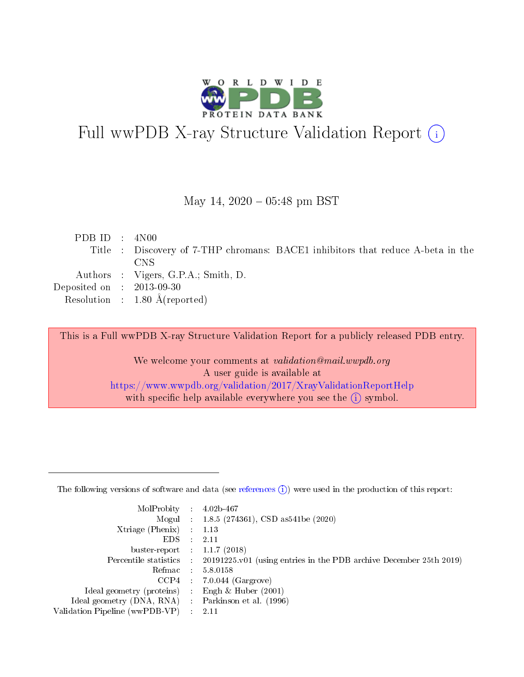

# Full wwPDB X-ray Structure Validation Report (i)

May 14,  $2020 - 05:48$  pm BST

|  | PDBID : 4N00                                                                    |
|--|---------------------------------------------------------------------------------|
|  | Title : Discovery of 7-THP chromans: BACE1 inhibitors that reduce A-beta in the |
|  | CNS.                                                                            |
|  | Authors : Vigers, G.P.A.; Smith, D.                                             |
|  | Deposited on $\therefore$ 2013-09-30                                            |
|  | Resolution : $1.80 \text{ Å}$ (reported)                                        |

This is a Full wwPDB X-ray Structure Validation Report for a publicly released PDB entry.

We welcome your comments at validation@mail.wwpdb.org A user guide is available at <https://www.wwpdb.org/validation/2017/XrayValidationReportHelp> with specific help available everywhere you see the  $(i)$  symbol.

The following versions of software and data (see [references](https://www.wwpdb.org/validation/2017/XrayValidationReportHelp#references)  $(1)$ ) were used in the production of this report:

| $MolProbability$ 4.02b-467     |                          |                                                                                            |
|--------------------------------|--------------------------|--------------------------------------------------------------------------------------------|
|                                |                          | Mogul : 1.8.5 (274361), CSD as 541be (2020)                                                |
| $X$ triage (Phenix) :          |                          | 1.13                                                                                       |
| EDS.                           | ÷                        | 2.11                                                                                       |
| buster-report : $1.1.7(2018)$  |                          |                                                                                            |
|                                |                          | Percentile statistics : 20191225.v01 (using entries in the PDB archive December 25th 2019) |
| Refmac                         |                          | 5.8.0158                                                                                   |
| CCP4                           |                          | $7.0.044$ (Gargrove)                                                                       |
| Ideal geometry (proteins)      |                          | Engh $\&$ Huber (2001)                                                                     |
| Ideal geometry (DNA, RNA) :    |                          | Parkinson et al. (1996)                                                                    |
| Validation Pipeline (wwPDB-VP) | $\mathcal{L}_{\rm{max}}$ | -2.11                                                                                      |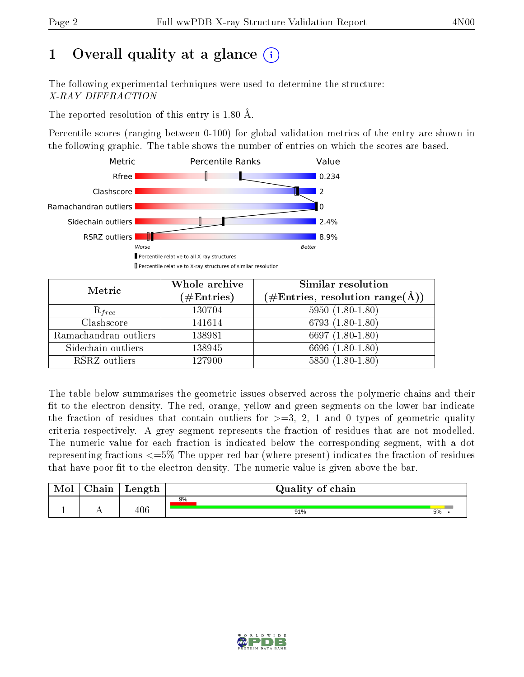# 1 [O](https://www.wwpdb.org/validation/2017/XrayValidationReportHelp#overall_quality)verall quality at a glance  $(i)$

The following experimental techniques were used to determine the structure: X-RAY DIFFRACTION

The reported resolution of this entry is 1.80 Å.

Percentile scores (ranging between 0-100) for global validation metrics of the entry are shown in the following graphic. The table shows the number of entries on which the scores are based.



| Metric                | Whole archive<br>$(\#\text{Entries})$ | Similar resolution<br>$(\#\text{Entries},\,\text{resolution}\,\,\text{range}(\textup{\AA}))$ |
|-----------------------|---------------------------------------|----------------------------------------------------------------------------------------------|
| $R_{free}$            | 130704                                | $5950(1.80-1.80)$                                                                            |
| Clashscore            | 141614                                | $6793(1.80-1.80)$                                                                            |
| Ramachandran outliers | 138981                                | 6697 $(1.80-1.80)$                                                                           |
| Sidechain outliers    | 138945                                | 6696 (1.80-1.80)                                                                             |
| RSRZ outliers         | 127900                                | $5850(1.80-1.80)$                                                                            |

The table below summarises the geometric issues observed across the polymeric chains and their fit to the electron density. The red, orange, yellow and green segments on the lower bar indicate the fraction of residues that contain outliers for  $>=3, 2, 1$  and 0 types of geometric quality criteria respectively. A grey segment represents the fraction of residues that are not modelled. The numeric value for each fraction is indicated below the corresponding segment, with a dot representing fractions  $\epsilon=5\%$  The upper red bar (where present) indicates the fraction of residues that have poor fit to the electron density. The numeric value is given above the bar.

| Mol | $\cap$ hain | Length  | Quality of chain |    |  |  |  |  |
|-----|-------------|---------|------------------|----|--|--|--|--|
|     |             |         | 9%               |    |  |  |  |  |
|     |             | $406\,$ | 91%              | 5% |  |  |  |  |

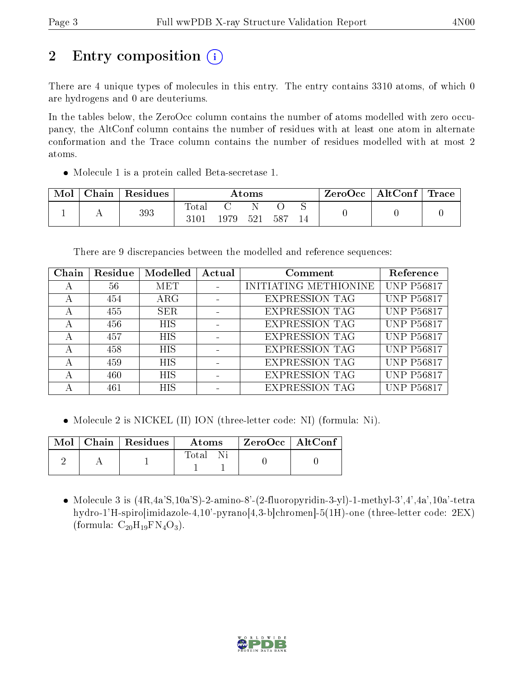# 2 Entry composition  $\left( \cdot \right)$

There are 4 unique types of molecules in this entry. The entry contains 3310 atoms, of which 0 are hydrogens and 0 are deuteriums.

In the tables below, the ZeroOcc column contains the number of atoms modelled with zero occupancy, the AltConf column contains the number of residues with at least one atom in alternate conformation and the Trace column contains the number of residues modelled with at most 2 atoms.

Molecule 1 is a protein called Beta-secretase 1.

| Mol | Chain | <sup>'</sup> Residues | $\rm{Atoms}$        |       |     |     |  | $\text{ZeroOcc}$   AltConf   Trace |  |
|-----|-------|-----------------------|---------------------|-------|-----|-----|--|------------------------------------|--|
|     |       | 393                   | $\rm Total$<br>3101 | 1979- | 521 | 587 |  |                                    |  |

There are 9 discrepancies between the modelled and reference sequences:

| Chain | Residue | Modelled   | Actual | Comment               | Reference         |
|-------|---------|------------|--------|-----------------------|-------------------|
| А     | 56      | MET        |        | INITIATING METHIONINE | <b>UNP P56817</b> |
| А     | 454     | $\rm{ARG}$ |        | <b>EXPRESSION TAG</b> | <b>UNP P56817</b> |
| А     | 455     | <b>SER</b> |        | <b>EXPRESSION TAG</b> | <b>UNP P56817</b> |
| А     | 456     | <b>HIS</b> |        | <b>EXPRESSION TAG</b> | <b>UNP P56817</b> |
| А     | 457     | <b>HIS</b> |        | <b>EXPRESSION TAG</b> | <b>UNP P56817</b> |
| А     | 458     | <b>HIS</b> |        | <b>EXPRESSION TAG</b> | <b>UNP P56817</b> |
| А     | 459     | <b>HIS</b> |        | <b>EXPRESSION TAG</b> | <b>UNP P56817</b> |
| А     | 460     | <b>HIS</b> |        | <b>EXPRESSION TAG</b> | <b>UNP P56817</b> |
|       | 461     | <b>HIS</b> |        | <b>EXPRESSION TAG</b> | <b>UNP P56817</b> |

• Molecule 2 is NICKEL (II) ION (three-letter code: NI) (formula: Ni).

|  | $\text{Mol}$   Chain   Residues | $\boldsymbol{\mathrm{Atoms}}$ | ZeroOcc   AltConf |  |
|--|---------------------------------|-------------------------------|-------------------|--|
|  |                                 | Total                         |                   |  |

 Molecule 3 is (4R,4a'S,10a'S)-2-amino-8'-(2-fluoropyridin-3-yl)-1-methyl-3',4',4a',10a'-tetra hydro-1'H-spiro[imidazole-4,10'-pyrano[4,3-b]chromen]-5(1H)-one (three-letter code: 2EX) (formula:  $C_{20}H_{19}FN_4O_3$ ).

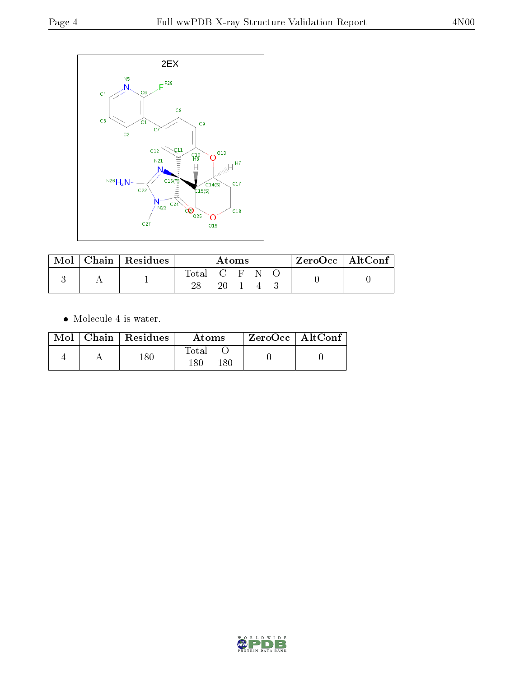

| $\bf{Mol}_\perp$ | Chain   $\overline{\text{Residues}}$ | Atoms       |    |  |  |  | $ZeroOcc \mid AltConf \mid$ |
|------------------|--------------------------------------|-------------|----|--|--|--|-----------------------------|
|                  |                                      | Total C F N |    |  |  |  |                             |
|                  |                                      |             | 20 |  |  |  |                             |

 $\bullet\,$  Molecule 4 is water.

|  | $Mol$   Chain   Residues | Atoms                | ZeroOcc   AltConf |
|--|--------------------------|----------------------|-------------------|
|  | $180\,$                  | Fotal<br>180<br>180. |                   |

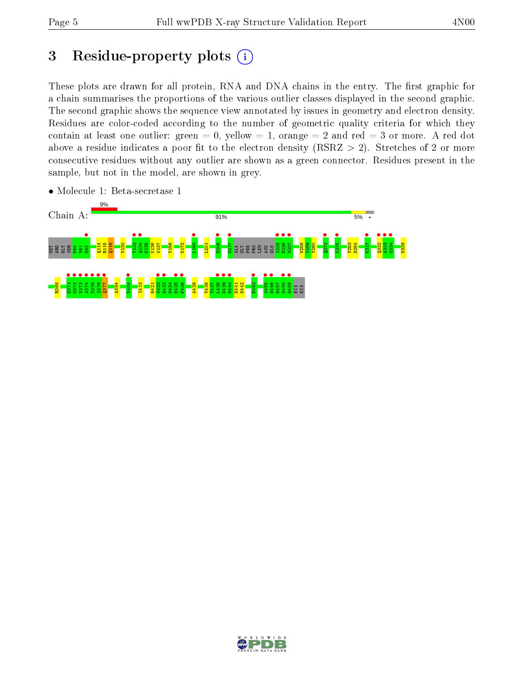# 3 Residue-property plots  $(i)$

These plots are drawn for all protein, RNA and DNA chains in the entry. The first graphic for a chain summarises the proportions of the various outlier classes displayed in the second graphic. The second graphic shows the sequence view annotated by issues in geometry and electron density. Residues are color-coded according to the number of geometric quality criteria for which they contain at least one outlier: green  $= 0$ , yellow  $= 1$ , orange  $= 2$  and red  $= 3$  or more. A red dot above a residue indicates a poor fit to the electron density (RSRZ  $> 2$ ). Stretches of 2 or more consecutive residues without any outlier are shown as a green connector. Residues present in the sample, but not in the model, are shown in grey.



• Molecule 1: Beta-secretase 1

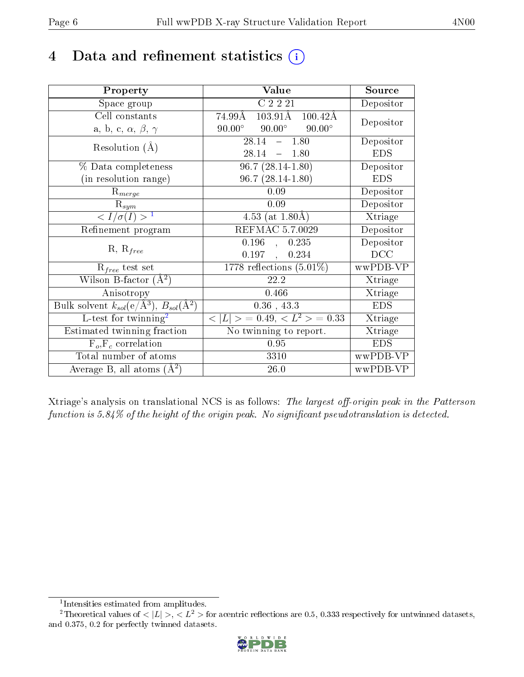# 4 Data and refinement statistics  $(i)$

| Property                                                         | Value                                              | Source                       |
|------------------------------------------------------------------|----------------------------------------------------|------------------------------|
| Space group                                                      | C 2 2 21                                           | Depositor                    |
| Cell constants                                                   | $103.91\text{\AA}$<br>74.99Å<br>$100.42\text{\AA}$ | Depositor                    |
| a, b, c, $\alpha$ , $\beta$ , $\gamma$                           | $90.00^\circ$<br>$90.00^\circ$<br>$90.00^\circ$    |                              |
| Resolution $(A)$                                                 | 28.14<br>$-1.80$                                   | Depositor                    |
|                                                                  | 28.14<br>$-1.80$                                   | <b>EDS</b>                   |
| % Data completeness                                              | $96.7(28.14-1.80)$                                 | Depositor                    |
| (in resolution range)                                            | $96.7(28.14-1.80)$                                 | <b>EDS</b>                   |
| $R_{merge}$                                                      | 0.09                                               | Depositor                    |
| $\mathrm{R}_{sym}$                                               | 0.09                                               | Depositor                    |
| $\langle I/\sigma(I) \rangle^{-1}$                               | 4.53 (at $1.80\overline{A}$ )                      | $\overline{\text{X}}$ triage |
| Refinement program                                               | <b>REFMAC 5.7.0029</b>                             | Depositor                    |
| $R, R_{free}$                                                    | 0.196<br>0.235<br>$\overline{\phantom{a}}$         | Depositor                    |
|                                                                  | 0.197<br>0.234<br>$\mathcal{L}^{\text{max}}$       | DCC                          |
| $R_{free}$ test set                                              | 1778 reflections $(5.01\%)$                        | wwPDB-VP                     |
| Wilson B-factor $(A^2)$                                          | 22.2                                               | Xtriage                      |
| Anisotropy                                                       | 0.466                                              | Xtriage                      |
| Bulk solvent $k_{sol}(\text{e}/\text{A}^3), B_{sol}(\text{A}^2)$ | $0.36$ , 43.3                                      | <b>EDS</b>                   |
| L-test for twinning <sup>2</sup>                                 | $< L >$ = 0.49, $< L2$ = 0.33                      | Xtriage                      |
| Estimated twinning fraction                                      | No twinning to report.                             | Xtriage                      |
| $\overline{F_o}, \overline{F_c}$ correlation                     | 0.95                                               | <b>EDS</b>                   |
| Total number of atoms                                            | 3310                                               | wwPDB-VP                     |
| Average B, all atoms $(A^2)$                                     | 26.0                                               | wwPDB-VP                     |

Xtriage's analysis on translational NCS is as follows: The largest off-origin peak in the Patterson function is  $5.84\%$  of the height of the origin peak. No significant pseudotranslation is detected.

<sup>&</sup>lt;sup>2</sup>Theoretical values of  $\langle |L| \rangle$ ,  $\langle L^2 \rangle$  for acentric reflections are 0.5, 0.333 respectively for untwinned datasets, and 0.375, 0.2 for perfectly twinned datasets.



<span id="page-5-1"></span><span id="page-5-0"></span><sup>1</sup> Intensities estimated from amplitudes.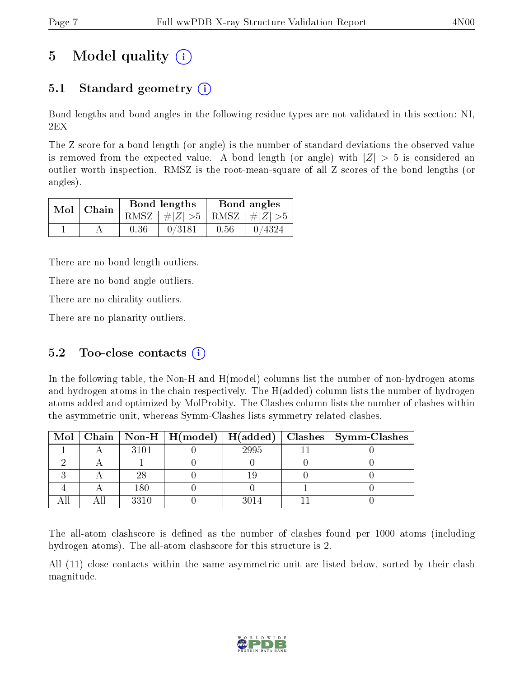# 5 Model quality  $(i)$

## 5.1 Standard geometry  $\overline{()}$

Bond lengths and bond angles in the following residue types are not validated in this section: NI, 2EX

The Z score for a bond length (or angle) is the number of standard deviations the observed value is removed from the expected value. A bond length (or angle) with  $|Z| > 5$  is considered an outlier worth inspection. RMSZ is the root-mean-square of all Z scores of the bond lengths (or angles).

| $Mol$   Chain |      | Bond lengths                    | Bond angles |                                          |  |
|---------------|------|---------------------------------|-------------|------------------------------------------|--|
|               |      | RMSZ $ #Z  > 5$ RMSZ $ #Z  > 5$ |             |                                          |  |
|               | 0.36 | 0/3181                          | 0.56        | $\begin{array}{ c} 0 \end{array}$ 0/4324 |  |

There are no bond length outliers.

There are no bond angle outliers.

There are no chirality outliers.

There are no planarity outliers.

### 5.2 Too-close contacts  $(i)$

In the following table, the Non-H and H(model) columns list the number of non-hydrogen atoms and hydrogen atoms in the chain respectively. The H(added) column lists the number of hydrogen atoms added and optimized by MolProbity. The Clashes column lists the number of clashes within the asymmetric unit, whereas Symm-Clashes lists symmetry related clashes.

|  |      |      | Mol   Chain   Non-H   H(model)   H(added)   Clashes   Symm-Clashes |
|--|------|------|--------------------------------------------------------------------|
|  | 3101 | 2995 |                                                                    |
|  |      |      |                                                                    |
|  | 28   |      |                                                                    |
|  | 180  |      |                                                                    |
|  | 3310 | 3014 |                                                                    |

The all-atom clashscore is defined as the number of clashes found per 1000 atoms (including hydrogen atoms). The all-atom clashscore for this structure is 2.

All (11) close contacts within the same asymmetric unit are listed below, sorted by their clash magnitude.

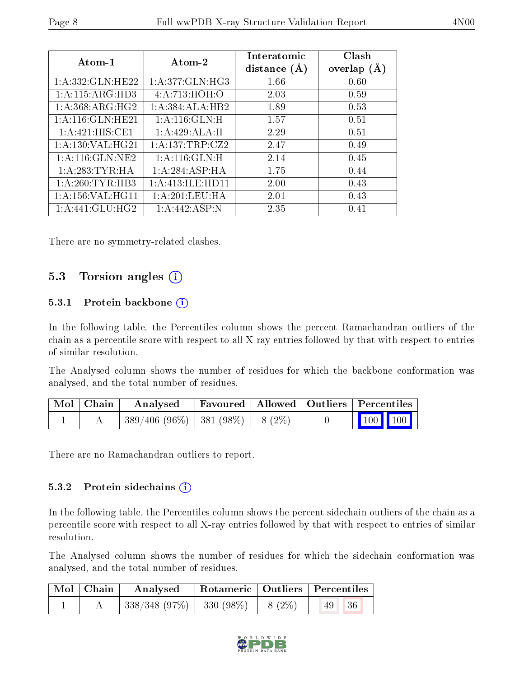| Atom-1               | Atom-2           | Interatomic<br>distance $(A)$ | Clash<br>overlap $(A)$ |
|----------------------|------------------|-------------------------------|------------------------|
| 1: A: 332: GLN: HE22 | 1:A:377:GLN:HG3  | 1.66                          | 0.60                   |
| 1:A:115:ARG:HD3      | 4:A:713:HOH:O    | 2.03                          | 0.59                   |
| 1: A:368: ARG: HG2   | 1:A:384:ALA:HB2  | 1.89                          | 0.53                   |
| 1: A:116: GLN: HE21  | 1: A:116: GLN:H  | 1.57                          | 0.51                   |
| 1:A:421:HIS:CE1      | 1:A:429:ALA:H    | 2.29                          | 0.51                   |
| 1: A: 130: VAL: HG21 | 1:A:137:TRP:CZ2  | 2.47                          | 0.49                   |
| 1:A:116:GLN:NE2      | 1: A:116: GLN:H  | 2.14                          | 0.45                   |
| 1:A:283:TYR:HA       | 1:A:284:ASP:HA   | 1.75                          | 0.44                   |
| 1: A:260:TYR:HB3     | 1:A:413:ILE:HD11 | 2.00                          | 0.43                   |
| 1: A: 156: VAL:HGI1  | 1: A:201:LEU:HA  | 2.01                          | 0.43                   |
| $1:$ A:441:GLU:HG2   | 1: A:442: ASP: N | 2.35                          | 0.41                   |

There are no symmetry-related clashes.

### 5.3 Torsion angles (i)

#### 5.3.1 Protein backbone (i)

In the following table, the Percentiles column shows the percent Ramachandran outliers of the chain as a percentile score with respect to all X-ray entries followed by that with respect to entries of similar resolution.

The Analysed column shows the number of residues for which the backbone conformation was analysed, and the total number of residues.

| Mol   Chain | Analysed                                | Favoured   Allowed   Outliers   Percentiles |  |                                                                        |  |
|-------------|-----------------------------------------|---------------------------------------------|--|------------------------------------------------------------------------|--|
|             | $389/406 (96\%)$   381 (98\%)   8 (2\%) |                                             |  | $\begin{array}{ c c c c c }\n\hline\n100 & 100 \\ \hline\n\end{array}$ |  |

There are no Ramachandran outliers to report.

#### 5.3.2 Protein sidechains  $(i)$

In the following table, the Percentiles column shows the percent sidechain outliers of the chain as a percentile score with respect to all X-ray entries followed by that with respect to entries of similar resolution.

The Analysed column shows the number of residues for which the sidechain conformation was analysed, and the total number of residues.

| $\mid$ Mol $\mid$ Chain $\mid$ |                                         |  | Analysed   Rotameric   Outliers   Percentiles |  |
|--------------------------------|-----------------------------------------|--|-----------------------------------------------|--|
|                                | $338/348$ (97\%)   330 (98\%)   8 (2\%) |  | 36 <br> 49                                    |  |

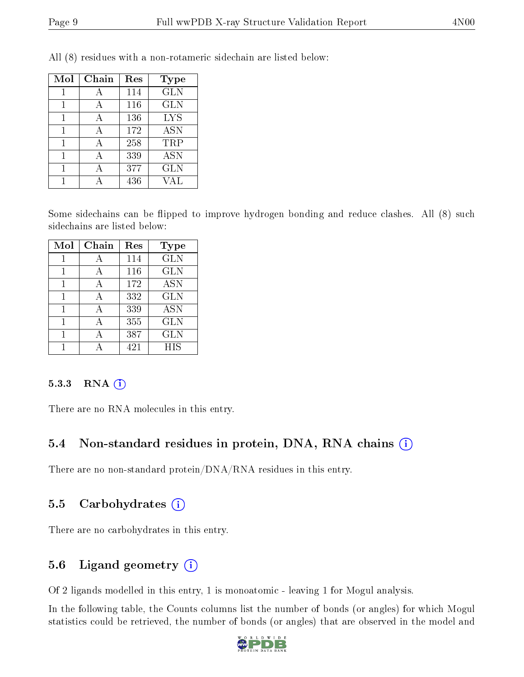| Mol | Chain | Res | Type       |
|-----|-------|-----|------------|
|     |       | 114 | <b>GLN</b> |
|     |       | 116 | <b>GLN</b> |
|     |       | 136 | <b>LYS</b> |
| 1   | А     | 172 | <b>ASN</b> |
|     |       | 258 | TRP        |
|     |       | 339 | <b>ASN</b> |
|     |       | 377 | <b>GLN</b> |
|     |       | 436 | 7A L       |

All (8) residues with a non-rotameric sidechain are listed below:

Some sidechains can be flipped to improve hydrogen bonding and reduce clashes. All (8) such sidechains are listed below:

| Mol | Chain | Res | <b>Type</b> |
|-----|-------|-----|-------------|
|     |       | 114 | <b>GLN</b>  |
| 1   | А     | 116 | <b>GLN</b>  |
| 1   | А     | 172 | <b>ASN</b>  |
| 1   |       | 332 | <b>GLN</b>  |
|     |       | 339 | <b>ASN</b>  |
|     |       | 355 | <b>GLN</b>  |
|     |       | 387 | <b>GLN</b>  |
|     |       | 421 | <b>HIS</b>  |

#### 5.3.3 RNA [O](https://www.wwpdb.org/validation/2017/XrayValidationReportHelp#rna)i

There are no RNA molecules in this entry.

### 5.4 Non-standard residues in protein, DNA, RNA chains (i)

There are no non-standard protein/DNA/RNA residues in this entry.

### 5.5 Carbohydrates (i)

There are no carbohydrates in this entry.

### 5.6 Ligand geometry (i)

Of 2 ligands modelled in this entry, 1 is monoatomic - leaving 1 for Mogul analysis.

In the following table, the Counts columns list the number of bonds (or angles) for which Mogul statistics could be retrieved, the number of bonds (or angles) that are observed in the model and

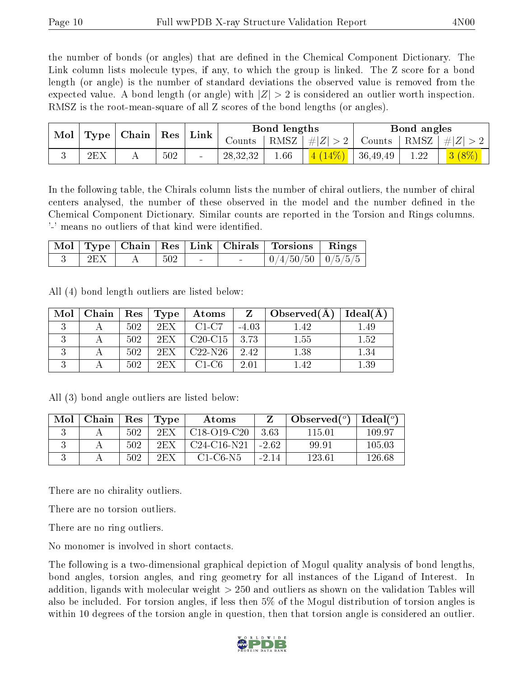the number of bonds (or angles) that are defined in the Chemical Component Dictionary. The Link column lists molecule types, if any, to which the group is linked. The Z score for a bond length (or angle) is the number of standard deviations the observed value is removed from the expected value. A bond length (or angle) with  $|Z| > 2$  is considered an outlier worth inspection. RMSZ is the root-mean-square of all Z scores of the bond lengths (or angles).

|     | $\mid$ Mol $\mid$ Type $\mid$ Chain $\mid$ Res $\mid$ Link $\mid$ |     |                | Bond lengths |                            | Bond angles |                                                        |
|-----|-------------------------------------------------------------------|-----|----------------|--------------|----------------------------|-------------|--------------------------------------------------------|
|     |                                                                   |     | Counts $\perp$ |              | RMSZ   $\# Z  > 2$         |             | $\vert$ Counts $\vert$ RMSZ $\vert \#  Z  > 2$ $\vert$ |
| 2EX | . .                                                               | 502 | 28, 32, 32     | 1.66         | $\frac{4(14\%)}{36,49,49}$ | 1.22        | $3(8\%)$                                               |

In the following table, the Chirals column lists the number of chiral outliers, the number of chiral centers analysed, the number of these observed in the model and the number defined in the Chemical Component Dictionary. Similar counts are reported in the Torsion and Rings columns. '-' means no outliers of that kind were identified.

|     |     |  | Mol   Type   Chain   Res   Link   Chirals   Torsions   Rings |  |
|-----|-----|--|--------------------------------------------------------------|--|
| 2EX | 502 |  | $0/4/50/50$   $0/5/5/5$                                      |  |

All (4) bond length outliers are listed below:

| Mol | Chain | $\operatorname{Res}$ | Type | Atoms            | Z       | Observed $(A)$ | Ideal(A) |
|-----|-------|----------------------|------|------------------|---------|----------------|----------|
|     |       | 502                  | 2EX  | C1-C7            | $-4.03$ | 1.42           | 1.49     |
|     |       | 502                  | 2EX  | $C20-C15$   3.73 |         | 1.55           | 1.52     |
|     |       | 502                  | 2EX  | $C22-N26$        | 2.42    | 1.38           | 1.34     |
|     |       | 502                  | 2EX  | $C1-C6$          | 2.01    | 142            | 1.39     |

All (3) bond angle outliers are listed below:

| Mol | Chain | Res | Type | Atoms         |         | Observed $(°)$ | Ideal $\binom{o}{c}$ |
|-----|-------|-----|------|---------------|---------|----------------|----------------------|
|     |       | 502 | 2FX  | $C18-O19-C20$ | 363     | 115 01         | 109.97               |
|     |       | 502 | 2FX  | $C24-C16-N21$ | $-262$  | 99.91          | 105.03               |
|     |       | 502 | 2EX  | $C1-C6-N5$    | $-2.14$ | 123.61         | 126.68               |

There are no chirality outliers.

There are no torsion outliers.

There are no ring outliers.

No monomer is involved in short contacts.

The following is a two-dimensional graphical depiction of Mogul quality analysis of bond lengths, bond angles, torsion angles, and ring geometry for all instances of the Ligand of Interest. In addition, ligands with molecular weight > 250 and outliers as shown on the validation Tables will also be included. For torsion angles, if less then 5% of the Mogul distribution of torsion angles is within 10 degrees of the torsion angle in question, then that torsion angle is considered an outlier.

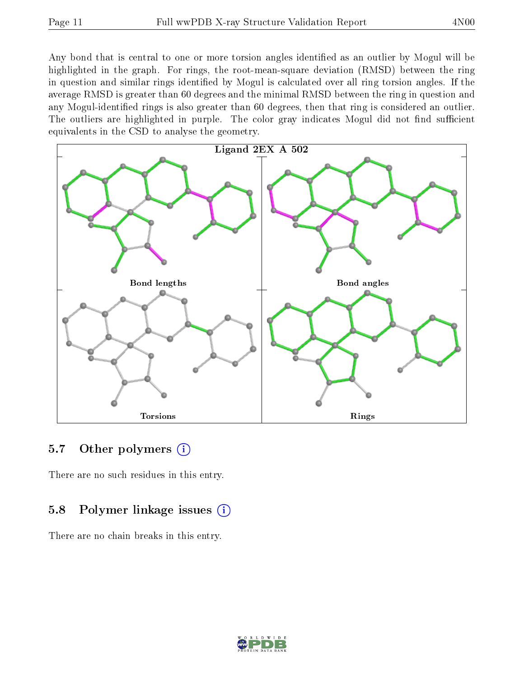Any bond that is central to one or more torsion angles identified as an outlier by Mogul will be highlighted in the graph. For rings, the root-mean-square deviation (RMSD) between the ring in question and similar rings identified by Mogul is calculated over all ring torsion angles. If the average RMSD is greater than 60 degrees and the minimal RMSD between the ring in question and any Mogul-identified rings is also greater than 60 degrees, then that ring is considered an outlier. The outliers are highlighted in purple. The color gray indicates Mogul did not find sufficient equivalents in the CSD to analyse the geometry.



### 5.7 [O](https://www.wwpdb.org/validation/2017/XrayValidationReportHelp#nonstandard_residues_and_ligands)ther polymers  $(i)$

There are no such residues in this entry.

### 5.8 Polymer linkage issues  $(i)$

There are no chain breaks in this entry.

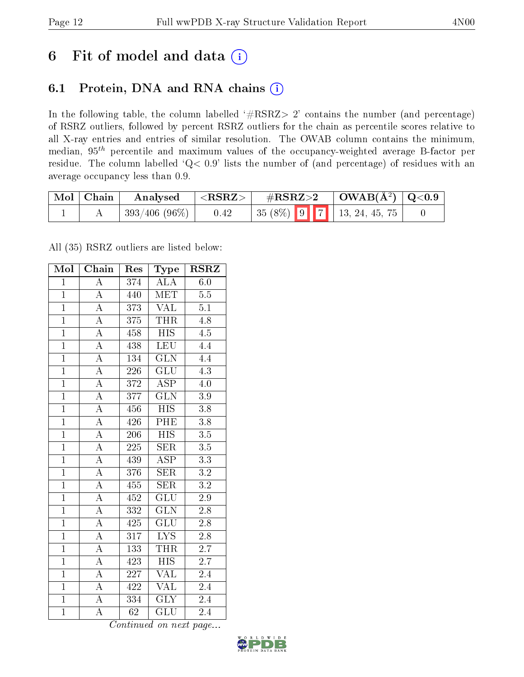# 6 Fit of model and data  $(i)$

### 6.1 Protein, DNA and RNA chains  $(i)$

In the following table, the column labelled  $#RSRZ> 2'$  contains the number (and percentage) of RSRZ outliers, followed by percent RSRZ outliers for the chain as percentile scores relative to all X-ray entries and entries of similar resolution. The OWAB column contains the minimum, median,  $95<sup>th</sup>$  percentile and maximum values of the occupancy-weighted average B-factor per residue. The column labelled ' $Q< 0.9$ ' lists the number of (and percentage) of residues with an average occupancy less than 0.9.

| $\mid$ Mol $\mid$ Chain | Analysed        | ${ <\hspace{-1.5pt}{\mathrm{RSRZ}} \hspace{-1.5pt}>}$ | $\#\text{RSRZ}{>}2$ |  | $\vert$ OWAB(Å <sup>2</sup> ) $\vert$ Q<0.9 |                              |  |
|-------------------------|-----------------|-------------------------------------------------------|---------------------|--|---------------------------------------------|------------------------------|--|
|                         | $393/406(96\%)$ | 0.42                                                  |                     |  |                                             | $35(8\%)$ 9 7 13, 24, 45, 75 |  |

All (35) RSRZ outliers are listed below:

| Mol            | Chain              | Res              | Type                      | $RS\overline{R}\overline{Z}$ |
|----------------|--------------------|------------------|---------------------------|------------------------------|
| $\mathbf{1}$   | $\overline{\rm A}$ | 374              | ALA                       | 6.0                          |
| $\mathbf{1}$   | $\overline{\rm A}$ | 440              | MET                       | $5.5\,$                      |
| $\overline{1}$ | $\overline{A}$     | 373              | $\overline{\text{VAL}}$   | 5.1                          |
| $\overline{1}$ | $\overline{\rm A}$ | 375              | <b>THR</b>                | 4.8                          |
| $\overline{1}$ | $\overline{A}$     | 458              | $\overline{\mathrm{HIS}}$ | $\overline{4.5}$             |
| $\mathbf{1}$   | $\overline{\rm A}$ | 438              | LEU                       | 4.4                          |
| $\overline{1}$ | $\overline{\rm A}$ | 134              | <b>GLN</b>                | $4.\overline{4}$             |
| $\overline{1}$ | $\overline{A}$     | 226              | GLU                       | $\overline{4.3}$             |
| $\overline{1}$ | $\overline{\rm A}$ | 372              | $\overline{\rm ASP}$      | 4.0                          |
| $\overline{1}$ | $\overline{A}$     | 377              | $\overline{\text{GLN}}$   | $3.9\,$                      |
| $\overline{1}$ | $\overline{\rm A}$ | 456              | <b>HIS</b>                | 3.8                          |
| $\overline{1}$ | $\overline{A}$     | 426              | $\overline{\mathrm{PHE}}$ | $\overline{3.8}$             |
| $\overline{1}$ | $\overline{A}$     | 206              | <b>HIS</b>                | 3.5                          |
| $\overline{1}$ | $\overline{\rm A}$ | 225              | SER                       | $\overline{3.5}$             |
| $\overline{1}$ | $\overline{\rm A}$ | 439              | $\overline{\text{ASP}}$   | $\overline{3.3}$             |
| $\overline{1}$ | $\overline{\rm A}$ | 376              | SER                       | $3.2\,$                      |
| $\overline{1}$ | $\overline{A}$     | 455              | $\overline{\text{SER}}$   | $\overline{3.2}$             |
| $\overline{1}$ | $\overline{\rm A}$ | 452              | $\overline{\text{GLU}}$   | $\overline{2.9}$             |
| $\overline{1}$ | $\overline{A}$     | 332              | <b>GLN</b>                | $2.\overline{8}$             |
| $\overline{1}$ | $\overline{A}$     | 425              | $\overline{{\rm GLU}}$    | $\overline{2.8}$             |
| $\overline{1}$ | $\overline{\rm A}$ | 317              | $\overline{\text{LYS}}$   | 2.8                          |
| $\overline{1}$ | $\overline{A}$     | 133              | <b>THR</b>                | $\overline{2.7}$             |
| $\overline{1}$ | $\overline{\rm A}$ | 423              | <b>HIS</b>                | 2.7                          |
| $\overline{1}$ | $\overline{\rm A}$ | 227              | $\overline{\text{VAL}}$   | 2.4                          |
| $\overline{1}$ | $\overline{\rm A}$ | 422              | <b>VAL</b>                | 2.4                          |
| $\overline{1}$ | $\overline{\rm A}$ | $\overline{334}$ | $\overline{\text{GLY}}$   | 2.4                          |
| $\overline{1}$ | $\overline{\rm A}$ | $\overline{62}$  | $\overline{{\rm GLU}}$    | 2.4                          |

Continued on next page...

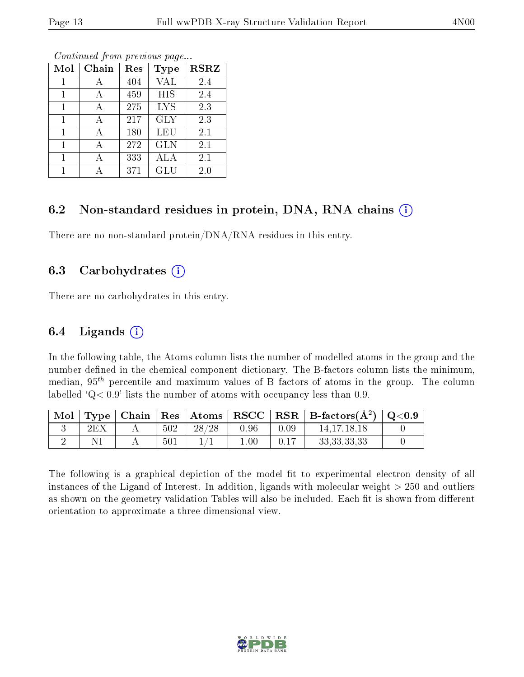| Mol | Chain | Res | Type       | <b>RSRZ</b> |
|-----|-------|-----|------------|-------------|
|     |       | 404 | <b>VAL</b> | 2.4         |
| 1   | А     | 459 | <b>HIS</b> | 2.4         |
| 1   | А     | 275 | <b>LYS</b> | 2.3         |
| 1   | А     | 217 | <b>GLY</b> | 2.3         |
| 1   | А     | 180 | LEU        | 2.1         |
|     |       | 272 | <b>GLN</b> | 2.1         |
|     |       | 333 | ALA        | 2.1         |
|     |       | 371 | GLU        | 2.0         |

Continued from previous page...

#### 6.2 Non-standard residues in protein, DNA, RNA chains (i)

There are no non-standard protein/DNA/RNA residues in this entry.

#### 6.3 Carbohydrates (i)

There are no carbohydrates in this entry.

#### 6.4 Ligands  $(i)$

In the following table, the Atoms column lists the number of modelled atoms in the group and the number defined in the chemical component dictionary. The B-factors column lists the minimum, median,  $95<sup>th</sup>$  percentile and maximum values of B factors of atoms in the group. The column labelled  $Q< 0.9$ ' lists the number of atoms with occupancy less than 0.9.

| Mol |     |     |       |          |      | $\langle$ Type   Chain   Res   Atoms   RSCC   RSR   B-factors( $\AA^2$ )   Q<0.9 |  |
|-----|-----|-----|-------|----------|------|----------------------------------------------------------------------------------|--|
|     | 2EX | 502 | 28/28 | 0.96     | 0.09 | 14.17.18.18                                                                      |  |
|     |     | 501 |       | $1.00\,$ | 0.17 | 33, 33, 33, 33                                                                   |  |

The following is a graphical depiction of the model fit to experimental electron density of all instances of the Ligand of Interest. In addition, ligands with molecular weight  $> 250$  and outliers as shown on the geometry validation Tables will also be included. Each fit is shown from different orientation to approximate a three-dimensional view.